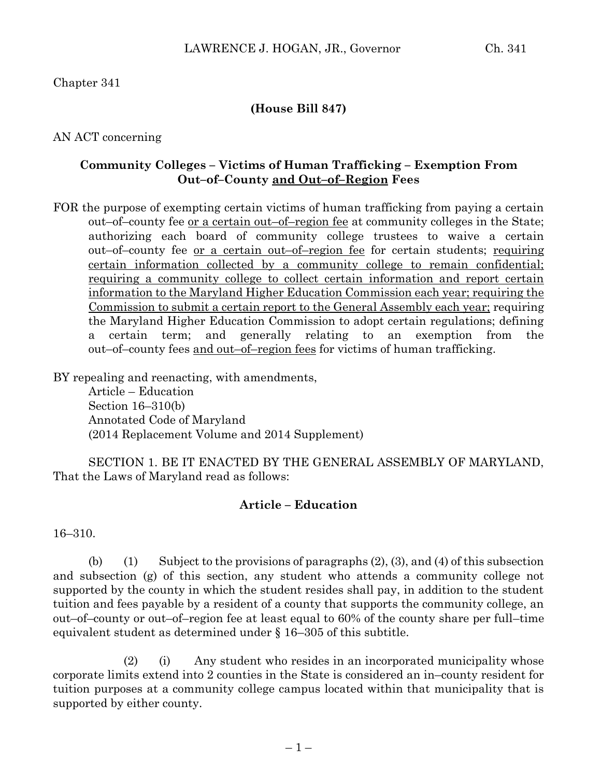## Chapter 341

### **(House Bill 847)**

### AN ACT concerning

### **Community Colleges – Victims of Human Trafficking – Exemption From Out–of–County and Out–of–Region Fees**

FOR the purpose of exempting certain victims of human trafficking from paying a certain out–of–county fee or a certain out–of–region fee at community colleges in the State; authorizing each board of community college trustees to waive a certain out–of–county fee or a certain out–of–region fee for certain students; requiring certain information collected by a community college to remain confidential; requiring a community college to collect certain information and report certain information to the Maryland Higher Education Commission each year; requiring the Commission to submit a certain report to the General Assembly each year; requiring the Maryland Higher Education Commission to adopt certain regulations; defining a certain term; and generally relating to an exemption from the out–of–county fees and out–of–region fees for victims of human trafficking.

BY repealing and reenacting, with amendments,

Article – Education Section 16–310(b) Annotated Code of Maryland (2014 Replacement Volume and 2014 Supplement)

SECTION 1. BE IT ENACTED BY THE GENERAL ASSEMBLY OF MARYLAND, That the Laws of Maryland read as follows:

#### **Article – Education**

16–310.

(b) (1) Subject to the provisions of paragraphs  $(2)$ ,  $(3)$ , and  $(4)$  of this subsection and subsection (g) of this section, any student who attends a community college not supported by the county in which the student resides shall pay, in addition to the student tuition and fees payable by a resident of a county that supports the community college, an out–of–county or out–of–region fee at least equal to 60% of the county share per full–time equivalent student as determined under § 16–305 of this subtitle.

(2) (i) Any student who resides in an incorporated municipality whose corporate limits extend into 2 counties in the State is considered an in–county resident for tuition purposes at a community college campus located within that municipality that is supported by either county.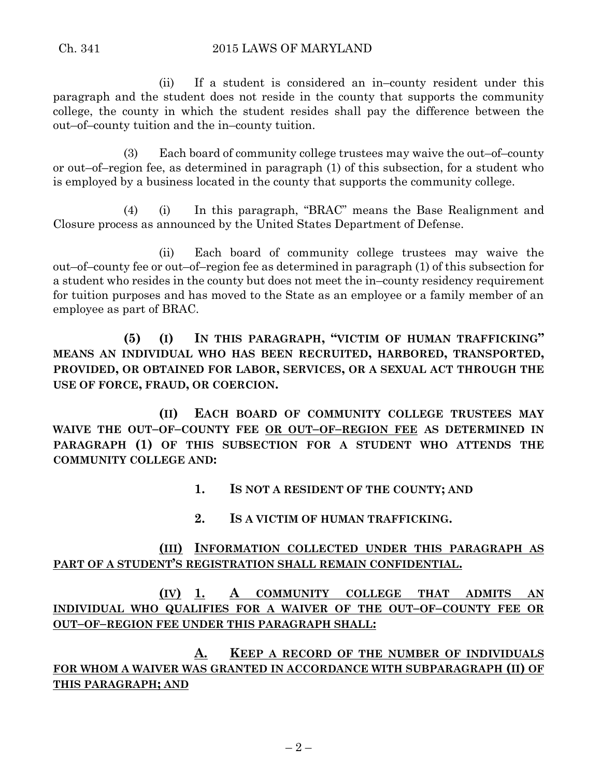(ii) If a student is considered an in–county resident under this paragraph and the student does not reside in the county that supports the community college, the county in which the student resides shall pay the difference between the out–of–county tuition and the in–county tuition.

(3) Each board of community college trustees may waive the out–of–county or out–of–region fee, as determined in paragraph (1) of this subsection, for a student who is employed by a business located in the county that supports the community college.

(4) (i) In this paragraph, "BRAC" means the Base Realignment and Closure process as announced by the United States Department of Defense.

(ii) Each board of community college trustees may waive the out–of–county fee or out–of–region fee as determined in paragraph (1) of this subsection for a student who resides in the county but does not meet the in–county residency requirement for tuition purposes and has moved to the State as an employee or a family member of an employee as part of BRAC.

**(5) (I) IN THIS PARAGRAPH, "VICTIM OF HUMAN TRAFFICKING" MEANS AN INDIVIDUAL WHO HAS BEEN RECRUITED, HARBORED, TRANSPORTED, PROVIDED, OR OBTAINED FOR LABOR, SERVICES, OR A SEXUAL ACT THROUGH THE USE OF FORCE, FRAUD, OR COERCION.**

**(II) EACH BOARD OF COMMUNITY COLLEGE TRUSTEES MAY WAIVE THE OUT–OF–COUNTY FEE OR OUT–OF–REGION FEE AS DETERMINED IN PARAGRAPH (1) OF THIS SUBSECTION FOR A STUDENT WHO ATTENDS THE COMMUNITY COLLEGE AND:**

**1. IS NOT A RESIDENT OF THE COUNTY; AND**

**2. IS A VICTIM OF HUMAN TRAFFICKING.**

# **(III) INFORMATION COLLECTED UNDER THIS PARAGRAPH AS PART OF A STUDENT'S REGISTRATION SHALL REMAIN CONFIDENTIAL.**

**(IV) 1. A COMMUNITY COLLEGE THAT ADMITS AN INDIVIDUAL WHO QUALIFIES FOR A WAIVER OF THE OUT–OF–COUNTY FEE OR OUT–OF–REGION FEE UNDER THIS PARAGRAPH SHALL:**

**A. KEEP A RECORD OF THE NUMBER OF INDIVIDUALS FOR WHOM A WAIVER WAS GRANTED IN ACCORDANCE WITH SUBPARAGRAPH (II) OF THIS PARAGRAPH; AND**